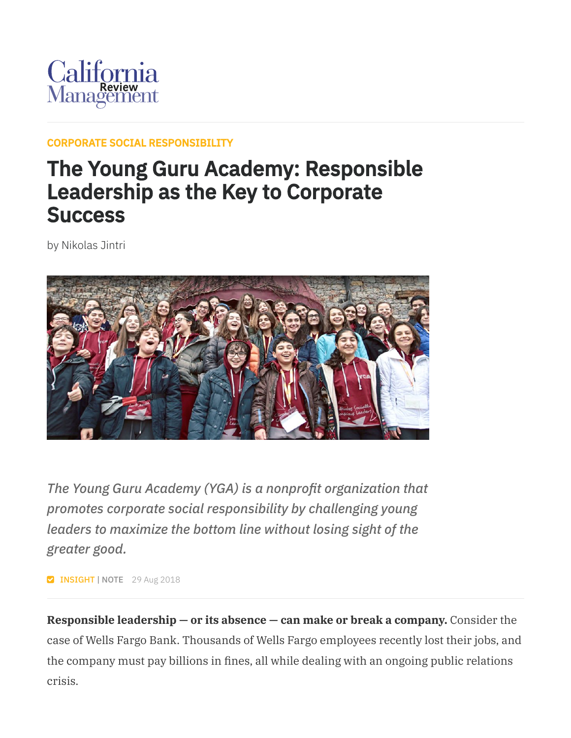

## CORPORATE SOCIAL [RESPONSIBILITY](https://cmr.berkeley.edu/browse/topics/corporate-social-responsibility/)

## The Young Guru Academy: Responsible Leadership as the Key to Corporate **Success**

by Nikolas Jintri



*The Young Guru Academy (YGA) is a nonprofit organization that promotes corporate social responsibility by challenging young leaders to maximize the bottom line without losing sight of the greater good.*

**V INSIGHT | NOTE** 29 Aug 2018

**Responsible leadership — or its absence — can make or break a company.** Consider the case of Wells Fargo Bank. Thousands of Wells Fargo employees recently lost their jobs, and the company must pay billions in fines, all while dealing with an ongoing public relations crisis.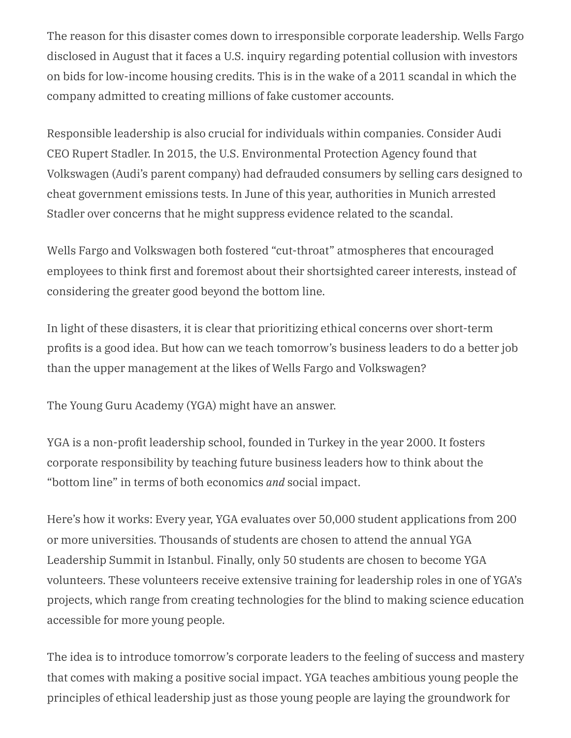The reason for this disaster comes down to irresponsible corporate leadership. Wells Fargo disclosed in August that it faces a U.S. inquiry regarding potential collusion with investors on bids for low-income housing credits. This is in the wake of a 2011 scandal in which the company admitted to creating millions of fake customer accounts.

Responsible leadership is also crucial for individuals within companies. Consider Audi CEO Rupert Stadler. In 2015, the U.S. Environmental Protection Agency found that Volkswagen (Audi's parent company) had defrauded consumers by selling cars designed to cheat government emissions tests. In June of this year, authorities in Munich arrested Stadler over concerns that he might suppress evidence related to the scandal.

Wells Fargo and Volkswagen both fostered "cut-throat" atmospheres that encouraged employees to think first and foremost about their shortsighted career interests, instead of considering the greater good beyond the bottom line.

In light of these disasters, it is clear that prioritizing ethical concerns over short-term profits is a good idea. But how can we teach tomorrow's business leaders to do a better job than the upper management at the likes of Wells Fargo and Volkswagen?

The Young Guru Academy (YGA) might have an answer.

YGA is a non-profit leadership school, founded in Turkey in the year 2000. It fosters corporate responsibility by teaching future business leaders how to think about the "bottom line" in terms of both economics *and* social impact.

Here's how it works: Every year, YGA evaluates over 50,000 student applications from 200 or more universities. Thousands of students are chosen to attend the annual YGA Leadership Summit in Istanbul. Finally, only 50 students are chosen to become YGA volunteers. These volunteers receive extensive training for leadership roles in one of YGA's projects, which range from creating technologies for the blind to making science education accessible for more young people.

The idea is to introduce tomorrow's corporate leaders to the feeling of success and mastery that comes with making a positive social impact. YGA teaches ambitious young people the principles of ethical leadership just as those young people are laying the groundwork for